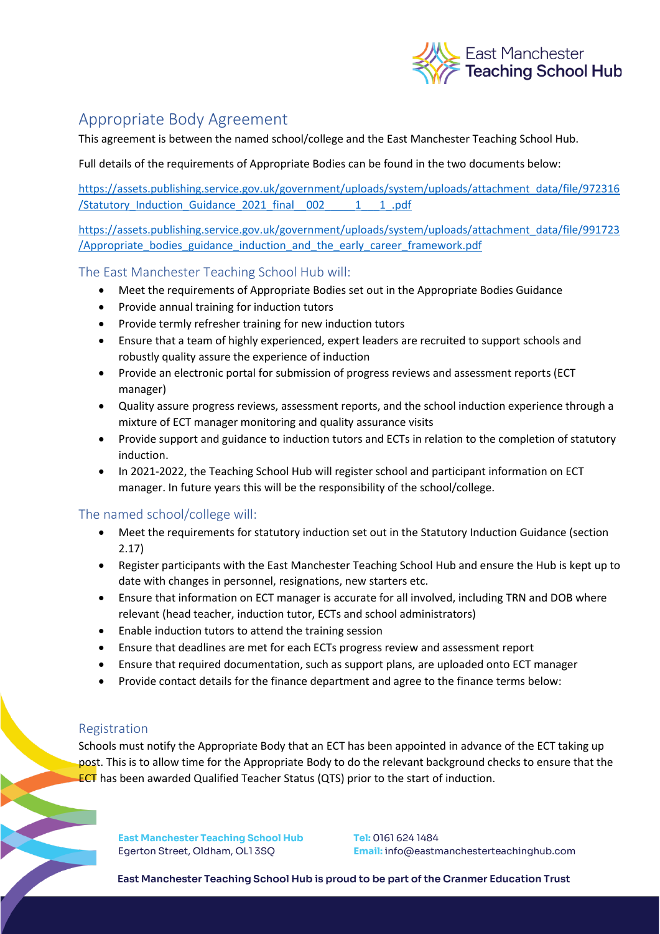

# Appropriate Body Agreement

This agreement is between the named school/college and the East Manchester Teaching School Hub.

Full details of the requirements of Appropriate Bodies can be found in the two documents below:

[https://assets.publishing.service.gov.uk/government/uploads/system/uploads/attachment\\_data/file/972316](https://assets.publishing.service.gov.uk/government/uploads/system/uploads/attachment_data/file/972316/Statutory_Induction_Guidance_2021_final__002_____1___1_.pdf) [/Statutory\\_Induction\\_Guidance\\_2021\\_final\\_\\_002\\_\\_\\_\\_\\_1\\_\\_\\_1\\_.pdf](https://assets.publishing.service.gov.uk/government/uploads/system/uploads/attachment_data/file/972316/Statutory_Induction_Guidance_2021_final__002_____1___1_.pdf)

[https://assets.publishing.service.gov.uk/government/uploads/system/uploads/attachment\\_data/file/991723](https://assets.publishing.service.gov.uk/government/uploads/system/uploads/attachment_data/file/991723/Appropriate_bodies_guidance_induction_and_the_early_career_framework.pdf) [/Appropriate\\_bodies\\_guidance\\_induction\\_and\\_the\\_early\\_career\\_framework.pdf](https://assets.publishing.service.gov.uk/government/uploads/system/uploads/attachment_data/file/991723/Appropriate_bodies_guidance_induction_and_the_early_career_framework.pdf) 

### The East Manchester Teaching School Hub will:

- Meet the requirements of Appropriate Bodies set out in the Appropriate Bodies Guidance
- Provide annual training for induction tutors
- Provide termly refresher training for new induction tutors
- Ensure that a team of highly experienced, expert leaders are recruited to support schools and robustly quality assure the experience of induction
- Provide an electronic portal for submission of progress reviews and assessment reports (ECT manager)
- Quality assure progress reviews, assessment reports, and the school induction experience through a mixture of ECT manager monitoring and quality assurance visits
- Provide support and guidance to induction tutors and ECTs in relation to the completion of statutory induction.
- In 2021-2022, the Teaching School Hub will register school and participant information on ECT manager. In future years this will be the responsibility of the school/college.

## The named school/college will:

- Meet the requirements for statutory induction set out in the Statutory Induction Guidance (section 2.17)
- Register participants with the East Manchester Teaching School Hub and ensure the Hub is kept up to date with changes in personnel, resignations, new starters etc.
- Ensure that information on ECT manager is accurate for all involved, including TRN and DOB where relevant (head teacher, induction tutor, ECTs and school administrators)
- Enable induction tutors to attend the training session
- Ensure that deadlines are met for each ECTs progress review and assessment report
- Ensure that required documentation, such as support plans, are uploaded onto ECT manager
- Provide contact details for the finance department and agree to the finance terms below:

### Registration

Schools must notify the Appropriate Body that an ECT has been appointed in advance of the ECT taking up post. This is to allow time for the Appropriate Body to do the relevant background checks to ensure that the ECT has been awarded Qualified Teacher Status (QTS) prior to the start of induction.

**East Manchester Teaching School Hub** Egerton Street, Oldham, OL1 3SQ

**Tel:** 0161 624 1484 **Email:** info@eastmanchesterteachinghub.com

**East Manchester Teaching School Hub is proud to be part of the Cranmer Education Trust**